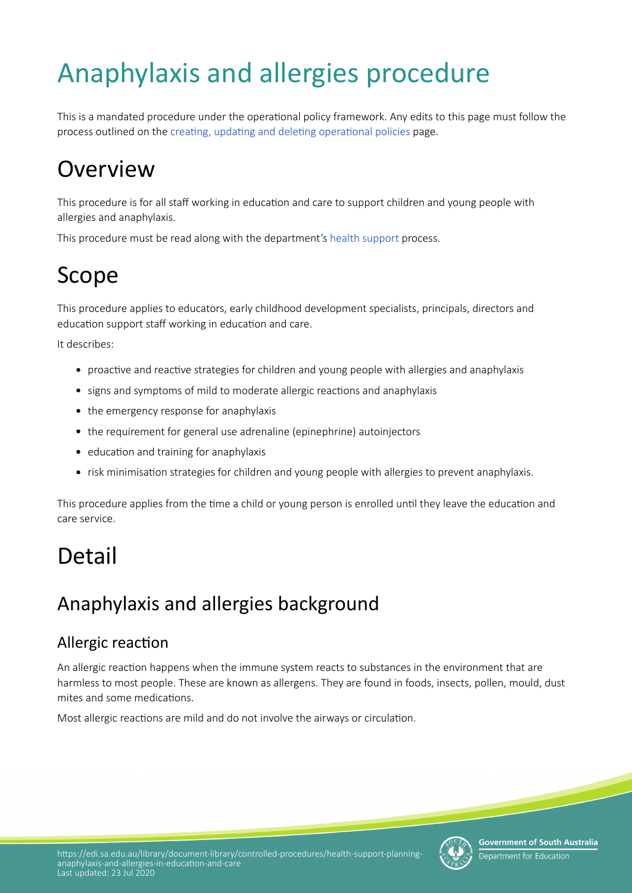# Anaphylaxis and allergies procedure

This is a mandated procedure under the operatonal policy framework. Any edits to this page must follow the process outlined on the creating, updating and deleting operational policies page.

# **Overview**

This procedure is for all staff working in education and care to support children and young people with allergies and anaphylaxis.

This procedure must be read along with the department's [health support](https://www.education.sa.gov.au/supporting-students/health-e-safety-and-wellbeing/health-support-planning/managing-health-education-and-care/health-support) process.

# Scope

This procedure applies to educators, early childhood development specialists, principals, directors and education support staff working in education and care.

It describes:

- proactive and reactive strategies for children and young people with allergies and anaphylaxis
- signs and symptoms of mild to moderate allergic reactions and anaphylaxis
- the emergency response for anaphylaxis
- the requirement for general use adrenaline (epinephrine) autoinjectors
- education and training for anaphylaxis
- risk minimisation strategies for children and young people with allergies to prevent anaphylaxis.

This procedure applies from the time a child or young person is enrolled until they leave the education and care service.

# Detail

## Anaphylaxis and allergies background

## Allergic reaction

An allergic reacton happens when the immune system reacts to substances in the environment that are harmless to most people. These are known as allergens. They are found in foods, insects, pollen, mould, dust mites and some medications.

Most allergic reactions are mild and do not involve the airways or circulation.



**Government of South Australia** Department for Education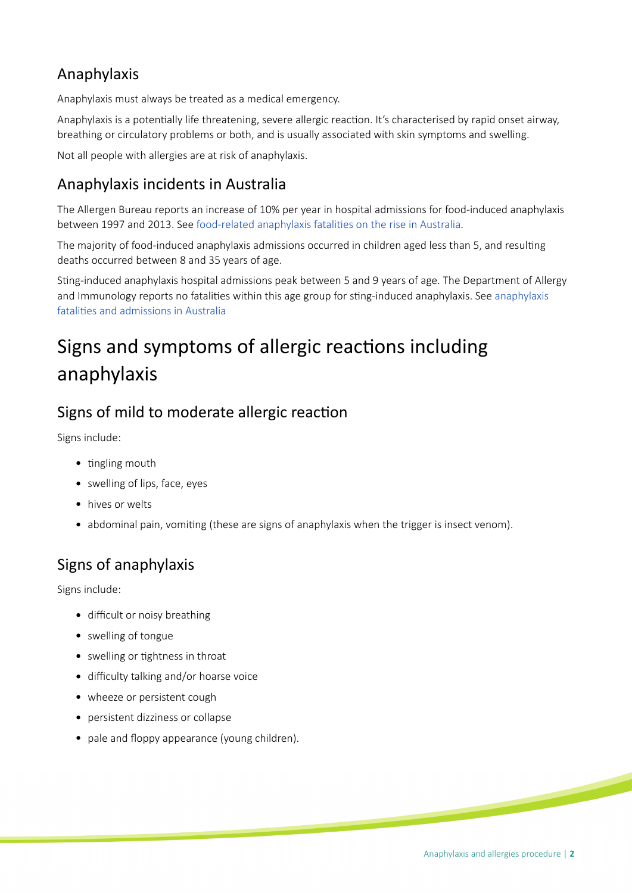## Anaphylaxis

Anaphylaxis must always be treated as a medical emergency.

Anaphylaxis is a potentially life threatening, severe allergic reaction. It's characterised by rapid onset airway, breathing or circulatory problems or both, and is usually associated with skin symptoms and swelling.

Not all people with allergies are at risk of anaphylaxis.

## Anaphylaxis incidents in Australia

The Allergen Bureau reports an increase of 10% per year in hospital admissions for food-induced anaphylaxis between 1997 and 2013. See food-related anaphylaxis fatalities on the rise in Australia.

The majority of food-induced anaphylaxis admissions occurred in children aged less than 5, and resulting deaths occurred between 8 and 35 years of age.

Stng-induced anaphylaxis hospital admissions peak between 5 and 9 years of age. The Department of Allergy and Immunology reports no fatalities within this age group for sting-induced anaphylaxis. See anaphylaxis [fatalites and admissions in Australia](https://www.ncbi.nlm.nih.gov/pubmed/19117599)

## Signs and symptoms of allergic reactions including anaphylaxis

## Signs of mild to moderate allergic reaction

Signs include:

- $\bullet$  tingling mouth
- swelling of lips, face, eyes
- hives or welts
- abdominal pain, vomiting (these are signs of anaphylaxis when the trigger is insect venom).

## Signs of anaphylaxis

Signs include:

- difficult or noisy breathing
- swelling of tongue
- swelling or tightness in throat
- difficulty talking and/or hoarse voice
- wheeze or persistent cough
- persistent dizziness or collapse
- pale and floppy appearance (young children).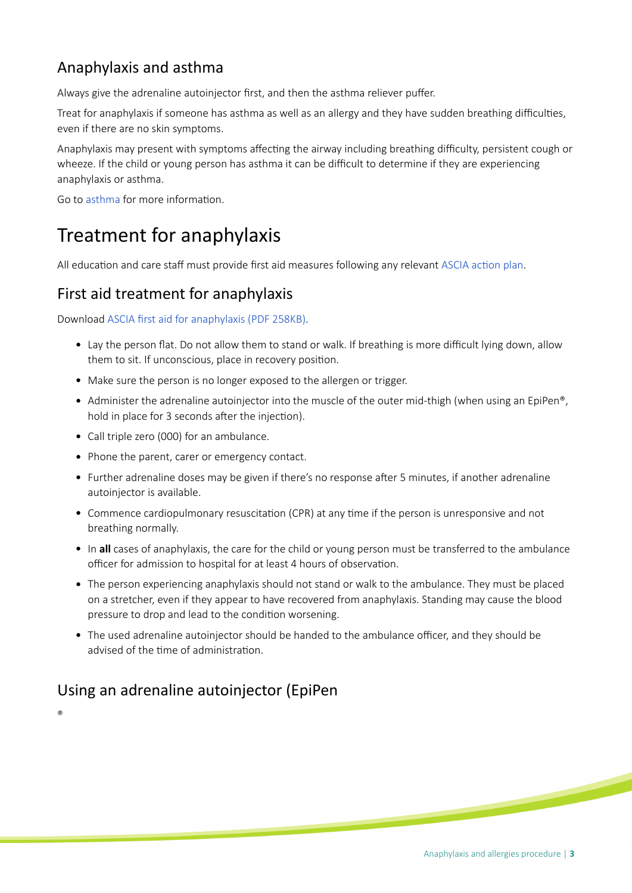## Anaphylaxis and asthma

Always give the adrenaline autoinjector frst, and then the asthma reliever pufer.

Treat for anaphylaxis if someone has asthma as well as an allergy and they have sudden breathing difficulties, even if there are no skin symptoms.

Anaphylaxis may present with symptoms affecting the airway including breathing difficulty, persistent cough or wheeze. If the child or young person has asthma it can be difficult to determine if they are experiencing anaphylaxis or asthma.

Go to [asthma](https://www.education.sa.gov.au/supporting-students/health-e-safety-and-wellbeing/health-support-planning/managing-health-education-and-care/physical-health/asthma) for more information.

## Treatment for anaphylaxis

All education and care staff must provide first aid measures following any relevant ASCIA action plan.

### First aid treatment for anaphylaxis

Download [ASCIA frst aid for anaphylaxis \(PDF 258KB\)](https://www.allergy.org.au/images/stories/anaphylaxis/2017/ASCIA_PCC_Anaphylaxis_First_Aid_2017.pdf).

- Lay the person flat. Do not allow them to stand or walk. If breathing is more difficult lying down, allow them to sit. If unconscious, place in recovery positon.
- Make sure the person is no longer exposed to the allergen or trigger.
- Administer the adrenaline autoinjector into the muscle of the outer mid-thigh (when using an EpiPen®, hold in place for 3 seconds after the injection).
- Call triple zero (000) for an ambulance.
- Phone the parent, carer or emergency contact.
- Further adrenaline doses may be given if there's no response after 5 minutes, if another adrenaline autoinjector is available.
- Commence cardiopulmonary resuscitation (CPR) at any time if the person is unresponsive and not breathing normally.
- In **all** cases of anaphylaxis, the care for the child or young person must be transferred to the ambulance officer for admission to hospital for at least 4 hours of observation.
- The person experiencing anaphylaxis should not stand or walk to the ambulance. They must be placed on a stretcher, even if they appear to have recovered from anaphylaxis. Standing may cause the blood pressure to drop and lead to the condition worsening.
- The used adrenaline autoinjector should be handed to the ambulance officer, and they should be advised of the time of administration.

## Using an adrenaline autoinjector (EpiPen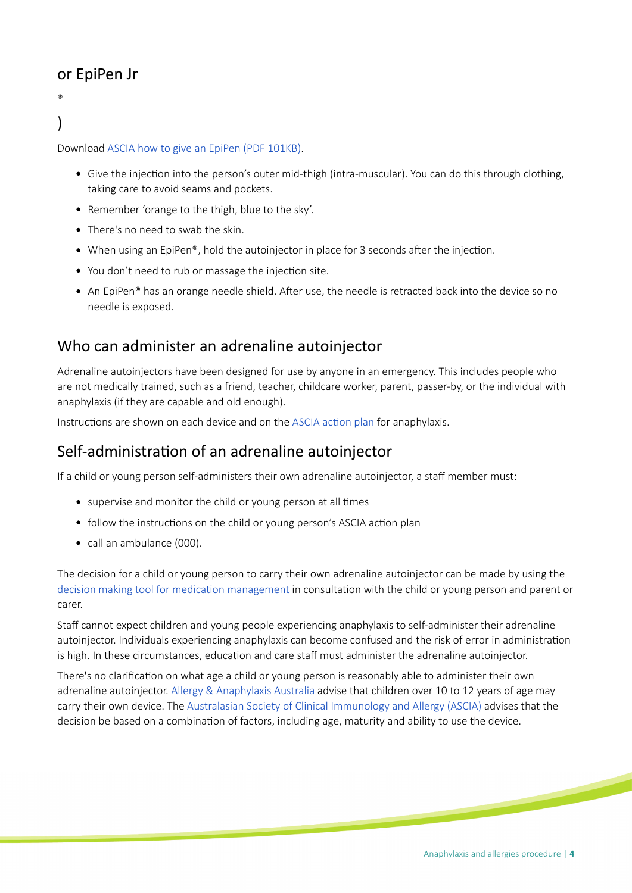## or EpiPen Jr

### ® )

Download [ASCIA how to give an EpiPen \(PDF 101KB\).](https://www.allergy.org.au/images/stories/anaphylaxis/2018/ASCIA_PCC_How_to_give_EpiPen_2018.pdf)

- Give the injection into the person's outer mid-thigh (intra-muscular). You can do this through clothing, taking care to avoid seams and pockets.
- Remember 'orange to the thigh, blue to the sky'.
- There's no need to swab the skin.
- $\bullet$  When using an EpiPen®, hold the autoinjector in place for 3 seconds after the injection.
- You don't need to rub or massage the injection site.
- An EpiPen® has an orange needle shield. After use, the needle is retracted back into the device so no needle is exposed.

### Who can administer an adrenaline autoinjector

Adrenaline autoinjectors have been designed for use by anyone in an emergency. This includes people who are not medically trained, such as a friend, teacher, childcare worker, parent, passer-by, or the individual with anaphylaxis (if they are capable and old enough).

Instructions are shown on each device and on the ASCIA action plan for anaphylaxis.

### Self-administraton of an adrenaline autoinjector

If a child or young person self-administers their own adrenaline autoinjector, a staff member must:

- supervise and monitor the child or young person at all times
- follow the instructions on the child or young person's ASCIA action plan
- call an ambulance (000).

The decision for a child or young person to carry their own adrenaline autoinjector can be made by using the decision making tool for medication management in consultation with the child or young person and parent or carer.

Staff cannot expect children and young people experiencing anaphylaxis to self-administer their adrenaline autoinjector. Individuals experiencing anaphylaxis can become confused and the risk of error in administraton is high. In these circumstances, education and care staff must administer the adrenaline autoinjector.

There's no clarifcaton on what age a child or young person is reasonably able to administer their own adrenaline autoinjector. [Allergy & Anaphylaxis Australia](https://allergyfacts.org.au) advise that children over 10 to 12 years of age may carry their own device. The [Australasian Society of Clinical Immunology and Allergy \(ASCIA\)](https://www.allergy.org.au) advises that the decision be based on a combination of factors, including age, maturity and ability to use the device.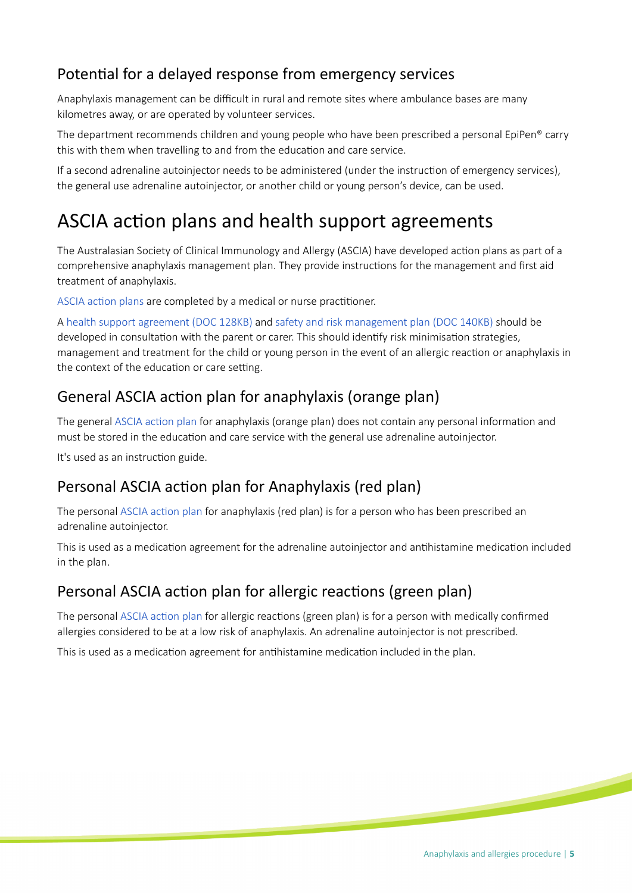## Potential for a delayed response from emergency services

Anaphylaxis management can be difficult in rural and remote sites where ambulance bases are many kilometres away, or are operated by volunteer services.

The department recommends children and young people who have been prescribed a personal EpiPen® carry this with them when travelling to and from the education and care service.

If a second adrenaline autoinjector needs to be administered (under the instructon of emergency services), the general use adrenaline autoinjector, or another child or young person's device, can be used.

## ASCIA action plans and health support agreements

The Australasian Society of Clinical Immunology and Allergy (ASCIA) have developed acton plans as part of a comprehensive anaphylaxis management plan. They provide instructons for the management and frst aid treatment of anaphylaxis.

ASCIA action plans are completed by a medical or nurse practitioner.

A [health support agreement \(DOC 128KB\)](https://www.education.sa.gov.au/sites/default/files/hsp120-health-support-agreement.docx) and [safety and risk management plan \(DOC 140KB\)](https://www.education.sa.gov.au/sites/g/files/net691/f/hsp121-safety-risk-mgmt-plan.doc) should be developed in consultation with the parent or carer. This should identify risk minimisation strategies, management and treatment for the child or young person in the event of an allergic reacton or anaphylaxis in the context of the education or care setting.

### General ASCIA action plan for anaphylaxis (orange plan)

The general ASCIA action plan for anaphylaxis (orange plan) does not contain any personal information and must be stored in the education and care service with the general use adrenaline autoinjector.

It's used as an instruction guide.

### Personal ASCIA action plan for Anaphylaxis (red plan)

The personal ASCIA action plan for anaphylaxis (red plan) is for a person who has been prescribed an adrenaline autoinjector.

This is used as a medication agreement for the adrenaline autoinjector and antihistamine medication included in the plan.

### Personal ASCIA action plan for allergic reactions (green plan)

The personal ASCIA action plan for allergic reactions (green plan) is for a person with medically confirmed allergies considered to be at a low risk of anaphylaxis. An adrenaline autoinjector is not prescribed.

This is used as a medication agreement for antihistamine medication included in the plan.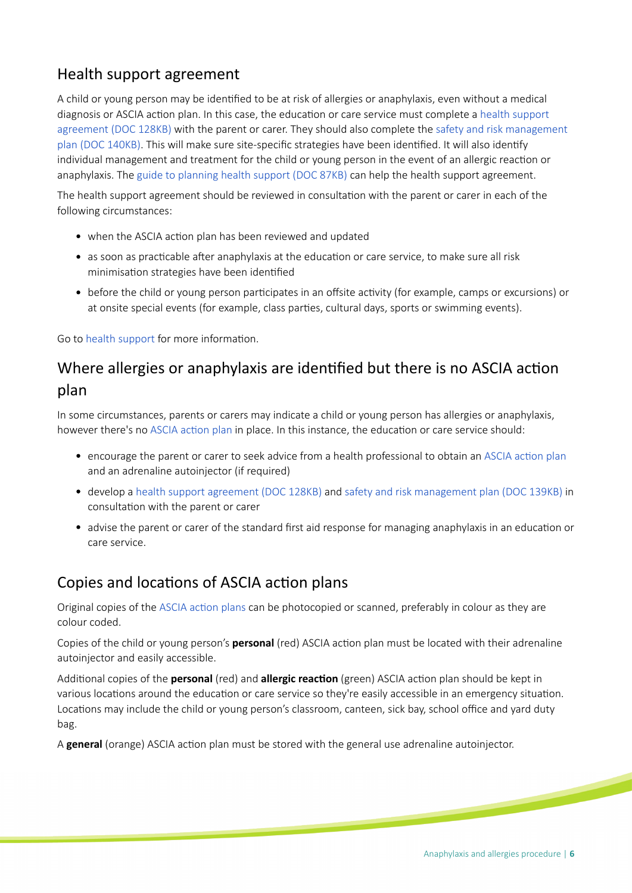## Health support agreement

A child or young person may be identified to be at risk of allergies or anaphylaxis, even without a medical diagnosis or ASCIA action plan. In this case, the education or care service must complete a health support [agreement \(DOC 128KB\)](https://www.education.sa.gov.au/sites/default/files/hsp120-health-support-agreement.docx) with the parent or carer. They should also complete the [safety and risk management](https://www.education.sa.gov.au/sites/g/files/net691/f/hsp121-safety-risk-mgmt-plan.doc)  [plan \(DOC 140KB\).](https://www.education.sa.gov.au/sites/g/files/net691/f/hsp121-safety-risk-mgmt-plan.doc) This will make sure site-specific strategies have been identified. It will also identify individual management and treatment for the child or young person in the event of an allergic reacton or anaphylaxis. The [guide to planning health support \(DOC 87KB\)](https://www.education.sa.gov.au/sites/default/files/hsp125-guide-to-planning-health-support.docx) can help the health support agreement.

The health support agreement should be reviewed in consultaton with the parent or carer in each of the following circumstances:

- when the ASCIA action plan has been reviewed and updated
- as soon as practicable after anaphylaxis at the education or care service, to make sure all risk minimisation strategies have been identified
- before the child or young person participates in an offsite activity (for example, camps or excursions) or at onsite special events (for example, class parties, cultural days, sports or swimming events).

Go to [health support](https://www.education.sa.gov.au/supporting-students/health-e-safety-and-wellbeing/health-support-planning/managing-health-education-and-care/health-support) for more information.

## Where allergies or anaphylaxis are identified but there is no ASCIA action plan

In some circumstances, parents or carers may indicate a child or young person has allergies or anaphylaxis, however there's no ASCIA action plan in place. In this instance, the education or care service should:

- encourage the parent or carer to seek advice from a health professional to obtain an ASCIA action plan and an adrenaline autoiniector (if required)
- develop a [health support agreement \(DOC 128KB\)](https://www.education.sa.gov.au/doc/hsp120-health-support-agreement) and [safety and risk management plan \(DOC 139KB\)](https://www.education.sa.gov.au/sites/g/files/net691/f/hsp121-safety-risk-mgmt-plan.doc?v=1534810709) in consultaton with the parent or carer
- advise the parent or carer of the standard first aid response for managing anaphylaxis in an education or care service.

## Copies and locations of ASCIA action plans

Original copies of the ASCIA action plans can be photocopied or scanned, preferably in colour as they are colour coded.

Copies of the child or young person's **personal** (red) ASCIA action plan must be located with their adrenaline autoinjector and easily accessible.

Additonal copies of the **personal** (red) and **allergic reacton** (green) ASCIA acton plan should be kept in various locations around the education or care service so they're easily accessible in an emergency situation. Locations may include the child or young person's classroom, canteen, sick bay, school office and yard duty bag.

A **general** (orange) ASCIA action plan must be stored with the general use adrenaline autoinjector.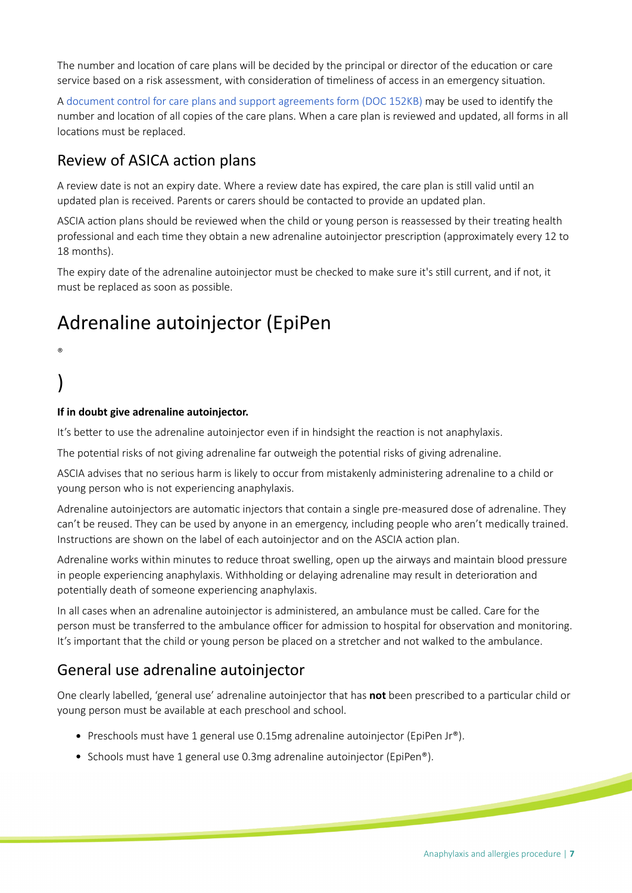The number and location of care plans will be decided by the principal or director of the education or care service based on a risk assessment, with consideration of timeliness of access in an emergency situation.

A [document control for care plans and support agreements form \(DOC 152KB\)](https://www.education.sa.gov.au/sites/g/files/net691/f/hsp130-document-control-hcp-support-agreements.doc?v=1534813512) may be used to identfy the number and locaton of all copies of the care plans. When a care plan is reviewed and updated, all forms in all locations must be replaced.

### Review of ASICA action plans

A review date is not an expiry date. Where a review date has expired, the care plan is still valid until an updated plan is received. Parents or carers should be contacted to provide an updated plan.

ASCIA action plans should be reviewed when the child or young person is reassessed by their treating health professional and each tme they obtain a new adrenaline autoinjector prescripton (approximately every 12 to 18 months).

The expiry date of the adrenaline autoinjector must be checked to make sure it's stll current, and if not, it must be replaced as soon as possible.

## Adrenaline autoinjector (EpiPen

#### ®

## )

#### **If in doubt give adrenaline autoinjector.**

It's better to use the adrenaline autoinjector even if in hindsight the reaction is not anaphylaxis.

The potential risks of not giving adrenaline far outweigh the potential risks of giving adrenaline.

ASCIA advises that no serious harm is likely to occur from mistakenly administering adrenaline to a child or young person who is not experiencing anaphylaxis.

Adrenaline autoinjectors are automatic injectors that contain a single pre-measured dose of adrenaline. They can't be reused. They can be used by anyone in an emergency, including people who aren't medically trained. Instructions are shown on the label of each autoinjector and on the ASCIA action plan.

Adrenaline works within minutes to reduce throat swelling, open up the airways and maintain blood pressure in people experiencing anaphylaxis. Withholding or delaying adrenaline may result in deterioration and potentially death of someone experiencing anaphylaxis.

In all cases when an adrenaline autoinjector is administered, an ambulance must be called. Care for the person must be transferred to the ambulance officer for admission to hospital for observation and monitoring. It's important that the child or young person be placed on a stretcher and not walked to the ambulance.

### General use adrenaline autoinjector

One clearly labelled, 'general use' adrenaline autoinjector that has **not** been prescribed to a partcular child or young person must be available at each preschool and school.

- Preschools must have 1 general use 0.15mg adrenaline autoinjector (EpiPen Jr®).
- Schools must have 1 general use 0.3mg adrenaline autoinjector (EpiPen®).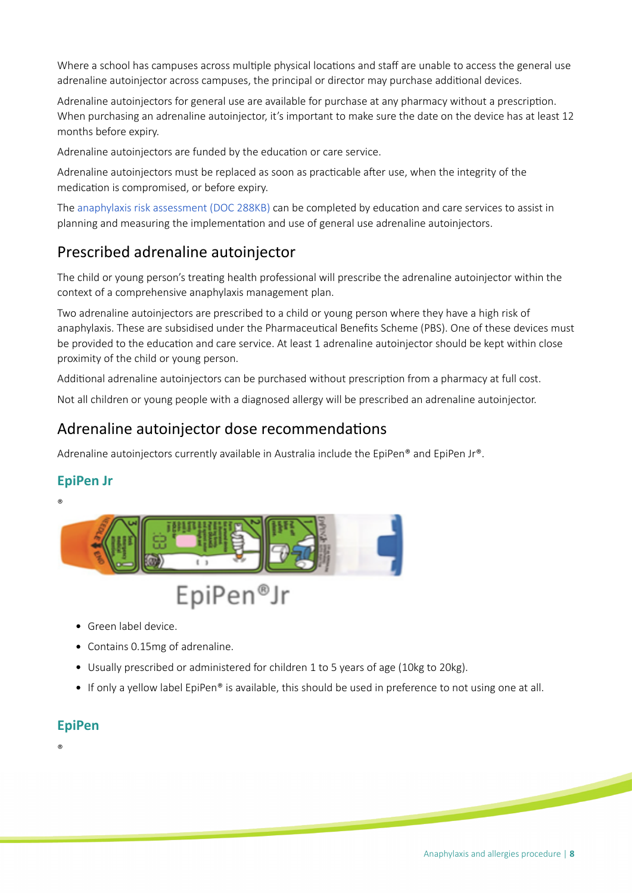Where a school has campuses across multiple physical locations and staff are unable to access the general use adrenaline autoinjector across campuses, the principal or director may purchase additonal devices.

Adrenaline autoinjectors for general use are available for purchase at any pharmacy without a prescripton. When purchasing an adrenaline autoinjector, it's important to make sure the date on the device has at least 12 months before expiry.

Adrenaline autoinjectors are funded by the education or care service.

Adrenaline autoinjectors must be replaced as soon as practicable after use, when the integrity of the medication is compromised, or before expiry.

The [anaphylaxis risk assessment \(DOC 288KB\)](https://www.education.sa.gov.au/sites/g/files/net691/f/hsp321-anaphylaxis-risk-assessment.doc) can be completed by education and care services to assist in planning and measuring the implementaton and use of general use adrenaline autoinjectors.

## Prescribed adrenaline autoinjector

The child or young person's treatng health professional will prescribe the adrenaline autoinjector within the context of a comprehensive anaphylaxis management plan.

Two adrenaline autoinjectors are prescribed to a child or young person where they have a high risk of anaphylaxis. These are subsidised under the Pharmaceutcal Benefts Scheme (PBS). One of these devices must be provided to the education and care service. At least 1 adrenaline autoinjector should be kept within close proximity of the child or young person.

Additonal adrenaline autoinjectors can be purchased without prescripton from a pharmacy at full cost.

Not all children or young people with a diagnosed allergy will be prescribed an adrenaline autoinjector.

#### Adrenaline autoinjector dose recommendations

Adrenaline autoinjectors currently available in Australia include the EpiPen® and EpiPen Jr®.

#### **EpiPen Jr**





- Green label device.
- Contains 0.15mg of adrenaline.
- Usually prescribed or administered for children 1 to 5 years of age (10kg to 20kg).
- If only a yellow label EpiPen® is available, this should be used in preference to not using one at all.

#### **EpiPen**

®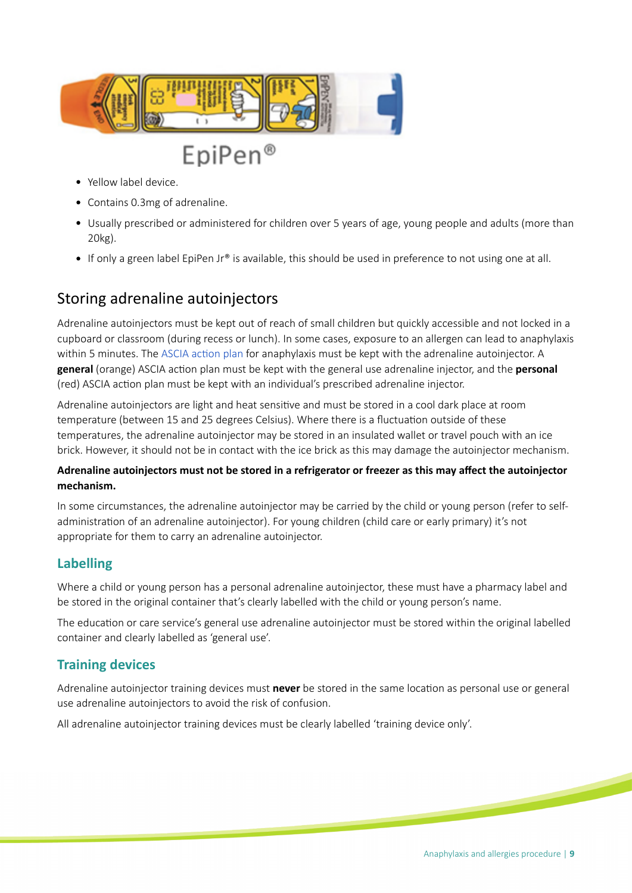

- Yellow label device.
- Contains 0.3mg of adrenaline.
- Usually prescribed or administered for children over 5 years of age, young people and adults (more than 20kg).
- If only a green label EpiPen Jr® is available, this should be used in preference to not using one at all.

#### Storing adrenaline autoinjectors

Adrenaline autoinjectors must be kept out of reach of small children but quickly accessible and not locked in a cupboard or classroom (during recess or lunch). In some cases, exposure to an allergen can lead to anaphylaxis within 5 minutes. The ASCIA action plan for anaphylaxis must be kept with the adrenaline autoinjector. A **general** (orange) ASCIA action plan must be kept with the general use adrenaline injector, and the **personal** (red) ASCIA action plan must be kept with an individual's prescribed adrenaline injector.

Adrenaline autoinjectors are light and heat sensitve and must be stored in a cool dark place at room temperature (between 15 and 25 degrees Celsius). Where there is a fluctuation outside of these temperatures, the adrenaline autoinjector may be stored in an insulated wallet or travel pouch with an ice brick. However, it should not be in contact with the ice brick as this may damage the autoinjector mechanism.

#### **Adrenaline autoinjectors must not be stored in a refrigerator or freezer as this may afect the autoinjector mechanism.**

In some circumstances, the adrenaline autoinjector may be carried by the child or young person (refer to selfadministraton of an adrenaline autoinjector). For young children (child care or early primary) it's not appropriate for them to carry an adrenaline autoinjector.

#### **Labelling**

Where a child or young person has a personal adrenaline autoinjector, these must have a pharmacy label and be stored in the original container that's clearly labelled with the child or young person's name.

The education or care service's general use adrenaline autoinjector must be stored within the original labelled container and clearly labelled as 'general use'.

#### **Training devices**

Adrenaline autoinjector training devices must never be stored in the same location as personal use or general use adrenaline autoinjectors to avoid the risk of confusion.

All adrenaline autoinjector training devices must be clearly labelled 'training device only'.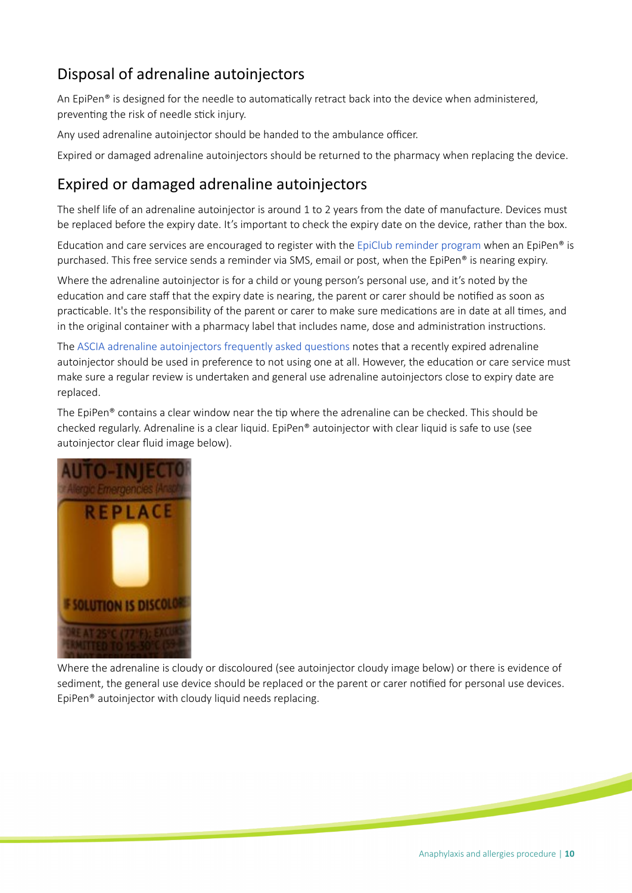## Disposal of adrenaline autoinjectors

An EpiPen® is designed for the needle to automatically retract back into the device when administered, preventing the risk of needle stick injury.

Any used adrenaline autoinjector should be handed to the ambulance officer.

Expired or damaged adrenaline autoinjectors should be returned to the pharmacy when replacing the device.

### Expired or damaged adrenaline autoinjectors

The shelf life of an adrenaline autoinjector is around 1 to 2 years from the date of manufacture. Devices must be replaced before the expiry date. It's important to check the expiry date on the device, rather than the box.

Education and care services are encouraged to register with the [EpiClub reminder program](https://www.epiclub.com.au) when an EpiPen® is purchased. This free service sends a reminder via SMS, email or post, when the EpiPen® is nearing expiry.

Where the adrenaline autoinjector is for a child or young person's personal use, and it's noted by the education and care staff that the expiry date is nearing, the parent or carer should be notified as soon as practicable. It's the responsibility of the parent or carer to make sure medications are in date at all times, and in the original container with a pharmacy label that includes name, dose and administration instructions.

The [ASCIA adrenaline autoinjectors frequently asked questons](https://www.allergy.org.au/health-professionals/anaphylaxis-resources/adrenaline-autoinjectors-faqs) notes that a recently expired adrenaline autoinjector should be used in preference to not using one at all. However, the education or care service must make sure a regular review is undertaken and general use adrenaline autoinjectors close to expiry date are replaced.

The EpiPen® contains a clear window near the tip where the adrenaline can be checked. This should be checked regularly. Adrenaline is a clear liquid. EpiPen® autoinjector with clear liquid is safe to use (see autoinjector clear fuid image below).



Where the adrenaline is cloudy or discoloured (see autoinjector cloudy image below) or there is evidence of sediment, the general use device should be replaced or the parent or carer notified for personal use devices. EpiPen® autoinjector with cloudy liquid needs replacing.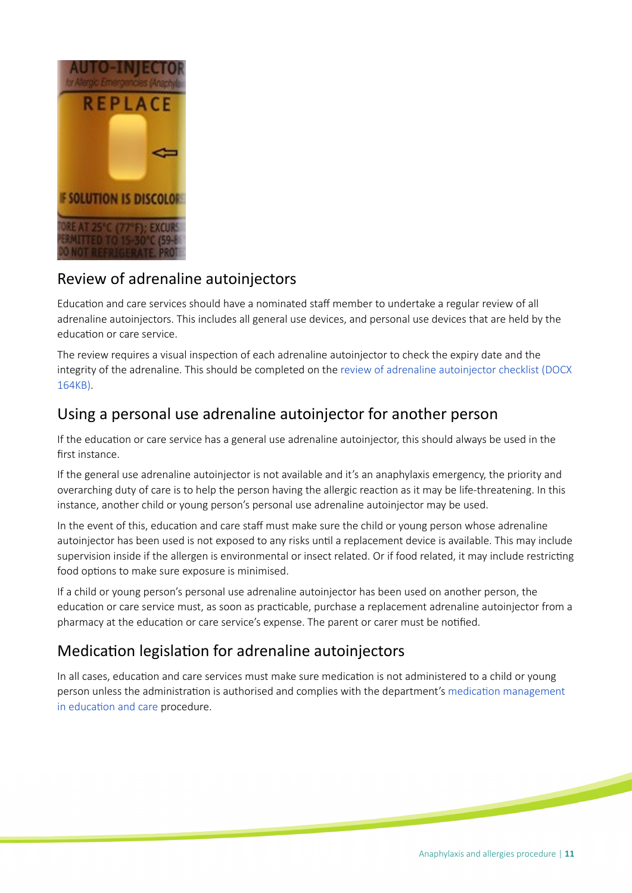

### Review of adrenaline autoinjectors

Education and care services should have a nominated staff member to undertake a regular review of all adrenaline autoinjectors. This includes all general use devices, and personal use devices that are held by the educaton or care service.

The review requires a visual inspection of each adrenaline autoinjector to check the expiry date and the integrity of the adrenaline. This should be completed on the [review of adrenaline autoinjector checklist \(DOCX](https://www.education.sa.gov.au/sites/g/files/net691/f/hsp322-review-adrenaline-autoinjectors.doc)  [164KB\)](https://www.education.sa.gov.au/sites/g/files/net691/f/hsp322-review-adrenaline-autoinjectors.doc).

### Using a personal use adrenaline autoinjector for another person

If the education or care service has a general use adrenaline autoinjector, this should always be used in the first instance.

If the general use adrenaline autoinjector is not available and it's an anaphylaxis emergency, the priority and overarching duty of care is to help the person having the allergic reacton as it may be life-threatening. In this instance, another child or young person's personal use adrenaline autoinjector may be used.

In the event of this, education and care staff must make sure the child or young person whose adrenaline autoinjector has been used is not exposed to any risks until a replacement device is available. This may include supervision inside if the allergen is environmental or insect related. Or if food related, it may include restricting food options to make sure exposure is minimised.

If a child or young person's personal use adrenaline autoinjector has been used on another person, the education or care service must, as soon as practicable, purchase a replacement adrenaline autoinjector from a pharmacy at the education or care service's expense. The parent or carer must be notified.

## Medication legislation for adrenaline autoinjectors

In all cases, education and care services must make sure medication is not administered to a child or young person unless the administration is authorised and complies with the department's medication management in education and care procedure.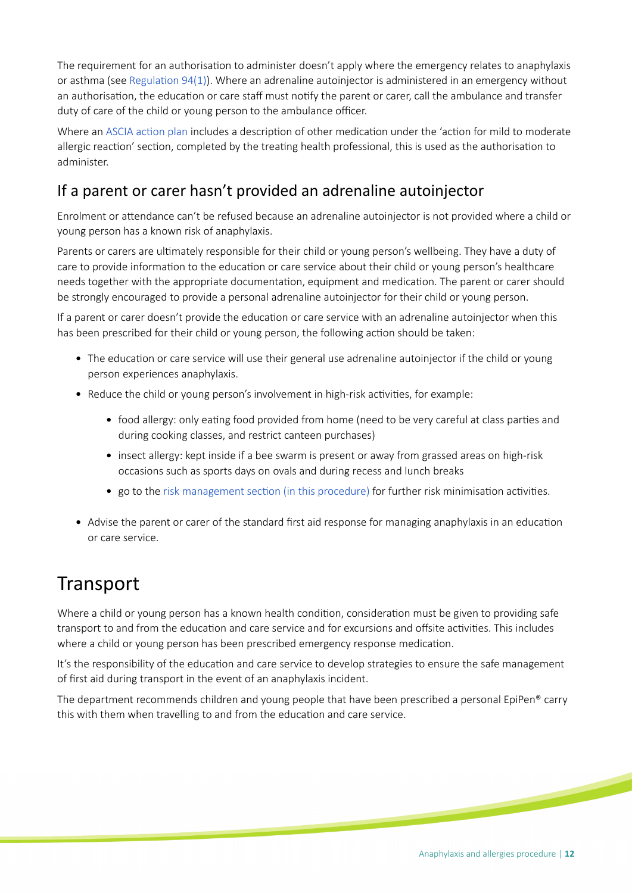The requirement for an authorisation to administer doesn't apply where the emergency relates to anaphylaxis or asthma (see [Regulaton 94\(1\)\)](https://www.legislation.nsw.gov.au/#/view/regulation/2011/653/chap4/part4.2/div4/reg.94). Where an adrenaline autoinjector is administered in an emergency without an authorisation, the education or care staff must notify the parent or carer, call the ambulance and transfer duty of care of the child or young person to the ambulance officer.

Where an ASCIA action plan includes a description of other medication under the 'action for mild to moderate allergic reaction' section, completed by the treating health professional, this is used as the authorisation to administer.

## If a parent or carer hasn't provided an adrenaline autoinjector

Enrolment or atendance can't be refused because an adrenaline autoinjector is not provided where a child or young person has a known risk of anaphylaxis.

Parents or carers are ultmately responsible for their child or young person's wellbeing. They have a duty of care to provide information to the education or care service about their child or young person's healthcare needs together with the appropriate documentaton, equipment and medicaton. The parent or carer should be strongly encouraged to provide a personal adrenaline autoinjector for their child or young person.

If a parent or carer doesn't provide the educaton or care service with an adrenaline autoinjector when this has been prescribed for their child or young person, the following action should be taken:

- The education or care service will use their general use adrenaline autoinjector if the child or young person experiences anaphylaxis.
- Reduce the child or young person's involvement in high-risk activities, for example:
	- food allergy: only eating food provided from home (need to be very careful at class parties and during cooking classes, and restrict canteen purchases)
	- insect allergy: kept inside if a bee swarm is present or away from grassed areas on high-risk occasions such as sports days on ovals and during recess and lunch breaks
	- go to the risk management section (in this procedure) for further risk minimisation activities.
- Advise the parent or carer of the standard first aid response for managing anaphylaxis in an education or care service.

## **Transport**

Where a child or young person has a known health condition, consideration must be given to providing safe transport to and from the education and care service and for excursions and offsite activities. This includes where a child or young person has been prescribed emergency response medication.

It's the responsibility of the education and care service to develop strategies to ensure the safe management of frst aid during transport in the event of an anaphylaxis incident.

The department recommends children and young people that have been prescribed a personal EpiPen® carry this with them when travelling to and from the education and care service.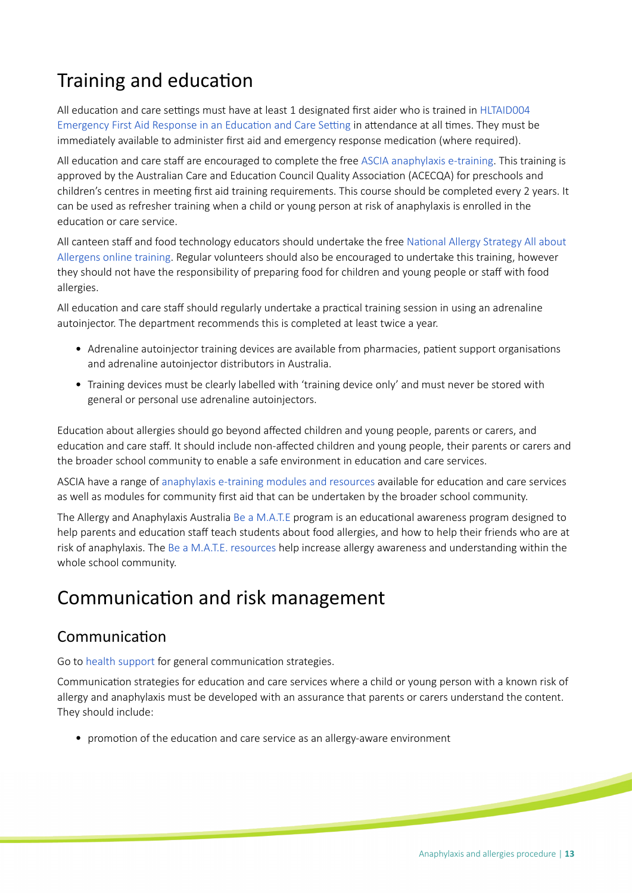## Training and education

All education and care settings must have at least 1 designated first aider who is trained in HLTAID004 Emergency First Aid Response in an Education and Care Setting in attendance at all times. They must be immediately available to administer frst aid and emergency response medicaton (where required).

All education and care staff are encouraged to complete the free [ASCIA anaphylaxis e-training.](https://etraining.allergy.org.au) This training is approved by the Australian Care and Education Council Quality Association (ACECQA) for preschools and children's centres in meetng frst aid training requirements. This course should be completed every 2 years. It can be used as refresher training when a child or young person at risk of anaphylaxis is enrolled in the educaton or care service.

All canteen staff and food technology educators should undertake the free National Allergy Strategy All about [Allergens online training.](http://www.foodallergytraining.org.au) Regular volunteers should also be encouraged to undertake this training, however they should not have the responsibility of preparing food for children and young people or staff with food allergies.

All education and care staff should regularly undertake a practical training session in using an adrenaline autoinjector. The department recommends this is completed at least twice a year.

- Adrenaline autoinjector training devices are available from pharmacies, patient support organisations and adrenaline autoinjector distributors in Australia.
- Training devices must be clearly labelled with 'training device only' and must never be stored with general or personal use adrenaline autoinjectors.

Educaton about allergies should go beyond afected children and young people, parents or carers, and educaton and care staf. It should include non-afected children and young people, their parents or carers and the broader school community to enable a safe environment in education and care services.

ASCIA have a range of [anaphylaxis e-training modules and resources](http://www.allergy.org.au/anaphylaxis) available for educaton and care services as well as modules for community frst aid that can be undertaken by the broader school community.

The Allergy and Anaphylaxis Australia [Be a M.A.T.E](https://allergyfacts.org.au/allergy-management/5-12-years/be-a-mate) program is an educatonal awareness program designed to help parents and education staff teach students about food allergies, and how to help their friends who are at risk of anaphylaxis. The [Be a M.A.T.E. resources](https://allergyfacts.org.au/index.php?option=com_content&view=article&id=16:be-a-mate-resources&catid=30&itemid=241) help increase allergy awareness and understanding within the whole school community.

## Communication and risk management

### Communication

Go to [health support](https://www.education.sa.gov.au/supporting-students/health-e-safety-and-wellbeing/health-support-planning/managing-health-education-and-care/health-support) for general communication strategies.

Communication strategies for education and care services where a child or young person with a known risk of allergy and anaphylaxis must be developed with an assurance that parents or carers understand the content. They should include:

• promotion of the education and care service as an allergy-aware environment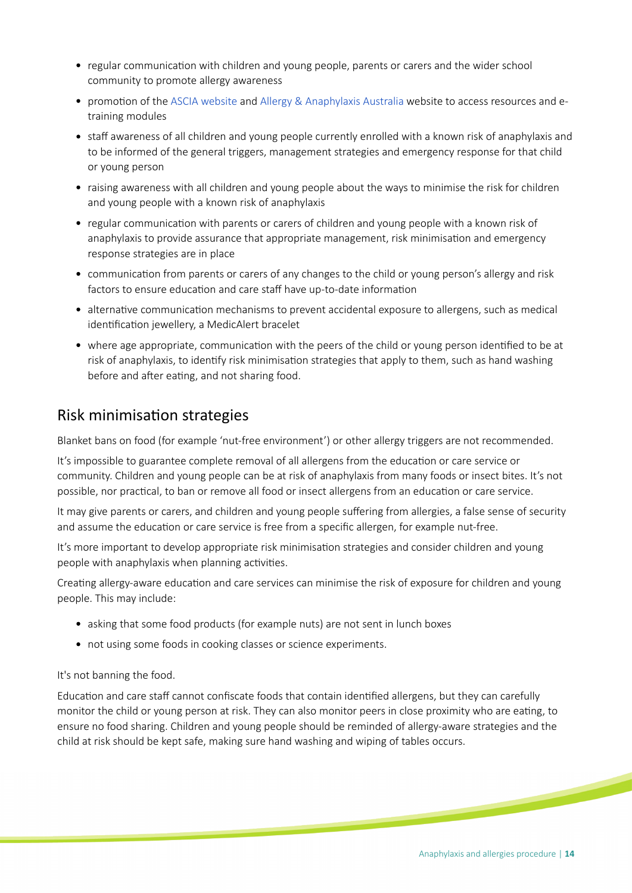- regular communication with children and young people, parents or carers and the wider school community to promote allergy awareness
- promotion of the [ASCIA website](https://www.allergy.org.au) and [Allergy & Anaphylaxis Australia](https://allergyfacts.org.au) website to access resources and etraining modules
- staff awareness of all children and young people currently enrolled with a known risk of anaphylaxis and to be informed of the general triggers, management strategies and emergency response for that child or young person
- raising awareness with all children and young people about the ways to minimise the risk for children and young people with a known risk of anaphylaxis
- regular communication with parents or carers of children and young people with a known risk of anaphylaxis to provide assurance that appropriate management, risk minimisation and emergency response strategies are in place
- communication from parents or carers of any changes to the child or young person's allergy and risk factors to ensure education and care staff have up-to-date information
- alternative communication mechanisms to prevent accidental exposure to allergens, such as medical identification jewellery, a MedicAlert bracelet
- where age appropriate, communication with the peers of the child or young person identified to be at risk of anaphylaxis, to identify risk minimisation strategies that apply to them, such as hand washing before and after eating, and not sharing food.

### Risk minimisaton strategies

Blanket bans on food (for example 'nut-free environment') or other allergy triggers are not recommended.

It's impossible to guarantee complete removal of all allergens from the educaton or care service or community. Children and young people can be at risk of anaphylaxis from many foods or insect bites. It's not possible, nor practical, to ban or remove all food or insect allergens from an education or care service.

It may give parents or carers, and children and young people sufering from allergies, a false sense of security and assume the education or care service is free from a specific allergen, for example nut-free.

It's more important to develop appropriate risk minimisaton strategies and consider children and young people with anaphylaxis when planning activities.

Creatng allergy-aware educaton and care services can minimise the risk of exposure for children and young people. This may include:

- asking that some food products (for example nuts) are not sent in lunch boxes
- not using some foods in cooking classes or science experiments.

It's not banning the food.

Education and care staff cannot confiscate foods that contain identified allergens, but they can carefully monitor the child or young person at risk. They can also monitor peers in close proximity who are eatng, to ensure no food sharing. Children and young people should be reminded of allergy-aware strategies and the child at risk should be kept safe, making sure hand washing and wiping of tables occurs.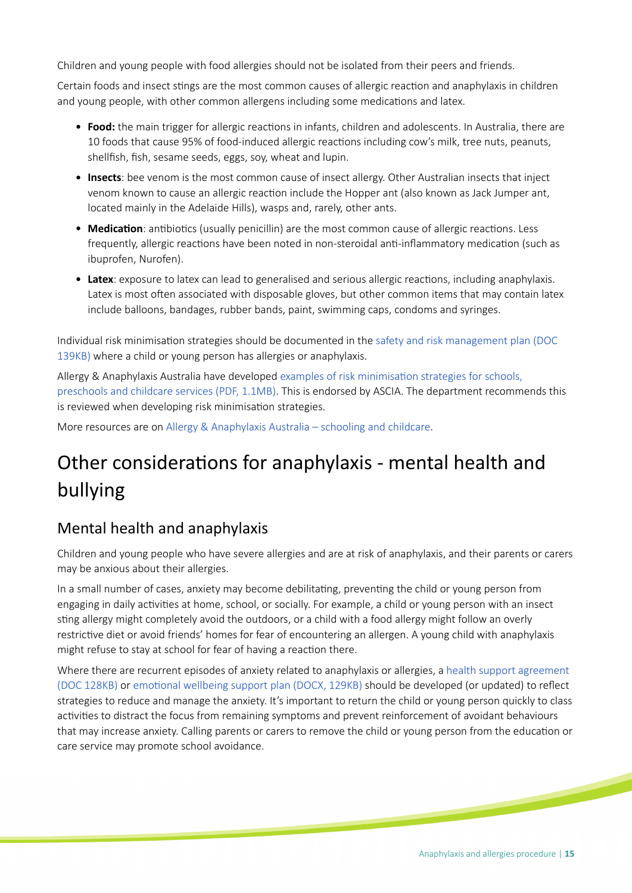Children and young people with food allergies should not be isolated from their peers and friends.

Certain foods and insect stings are the most common causes of allergic reaction and anaphylaxis in children and young people, with other common allergens including some medications and latex.

- **Food:** the main trigger for allergic reactons in infants, children and adolescents. In Australia, there are 10 foods that cause 95% of food-induced allergic reactons including cow's milk, tree nuts, peanuts, shellfish, fish, sesame seeds, eggs, soy, wheat and lupin.
- **Insects**: bee venom is the most common cause of insect allergy. Other Australian insects that inject venom known to cause an allergic reacton include the Hopper ant (also known as Jack Jumper ant, located mainly in the Adelaide Hills), wasps and, rarely, other ants.
- **Medication**: antibiotics (usually penicillin) are the most common cause of allergic reactions. Less frequently, allergic reactions have been noted in non-steroidal anti-inflammatory medication (such as ibuprofen, Nurofen).
- **Latex**: exposure to latex can lead to generalised and serious allergic reactons, including anaphylaxis. Latex is most often associated with disposable gloves, but other common items that may contain latex include balloons, bandages, rubber bands, paint, swimming caps, condoms and syringes.

Individual risk minimisaton strategies should be documented in the [safety and risk management plan \(DOC](https://www.education.sa.gov.au/sites/g/files/net691/f/hsp121-safety-risk-mgmt-plan.doc?v=1534810709)  [139KB\)](https://www.education.sa.gov.au/sites/g/files/net691/f/hsp121-safety-risk-mgmt-plan.doc?v=1534810709) where a child or young person has allergies or anaphylaxis.

Allergy & Anaphylaxis Australia have developed [examples of risk minimisaton strategies for schools,](https://allergy.org.au/images/scc/ASCIA_Risk_minimisation_strategies_table_030315.pdf)  [preschools and childcare services \(PDF, 1.1MB\)](https://allergy.org.au/images/scc/ASCIA_Risk_minimisation_strategies_table_030315.pdf). This is endorsed by ASCIA. The department recommends this is reviewed when developing risk minimisation strategies.

More resources are on [Allergy & Anaphylaxis Australia – schooling and childcare](https://allergyfacts.org.au/allergy-management/schooling-childcare).

## Other consideratons for anaphylaxis - mental health and bullying

### Mental health and anaphylaxis

Children and young people who have severe allergies and are at risk of anaphylaxis, and their parents or carers may be anxious about their allergies.

In a small number of cases, anxiety may become debilitatng, preventng the child or young person from engaging in daily activities at home, school, or socially. For example, a child or young person with an insect stng allergy might completely avoid the outdoors, or a child with a food allergy might follow an overly restrictive diet or avoid friends' homes for fear of encountering an allergen. A young child with anaphylaxis might refuse to stay at school for fear of having a reacton there.

Where there are recurrent episodes of anxiety related to anaphylaxis or allergies, a [health support agreement](https://www.education.sa.gov.au/sites/default/files/hsp120-health-support-agreement.docx)  [\(DOC 128KB\)](https://www.education.sa.gov.au/sites/default/files/hsp120-health-support-agreement.docx) or [emotonal wellbeing support plan \(DOCX, 129KB\)](https://www.education.sa.gov.au/sites/default/files/hsp400-emotional-wellbeing-support-plan.docx) should be developed (or updated) to refect strategies to reduce and manage the anxiety. It's important to return the child or young person quickly to class activities to distract the focus from remaining symptoms and prevent reinforcement of avoidant behaviours that may increase anxiety. Calling parents or carers to remove the child or young person from the educaton or care service may promote school avoidance.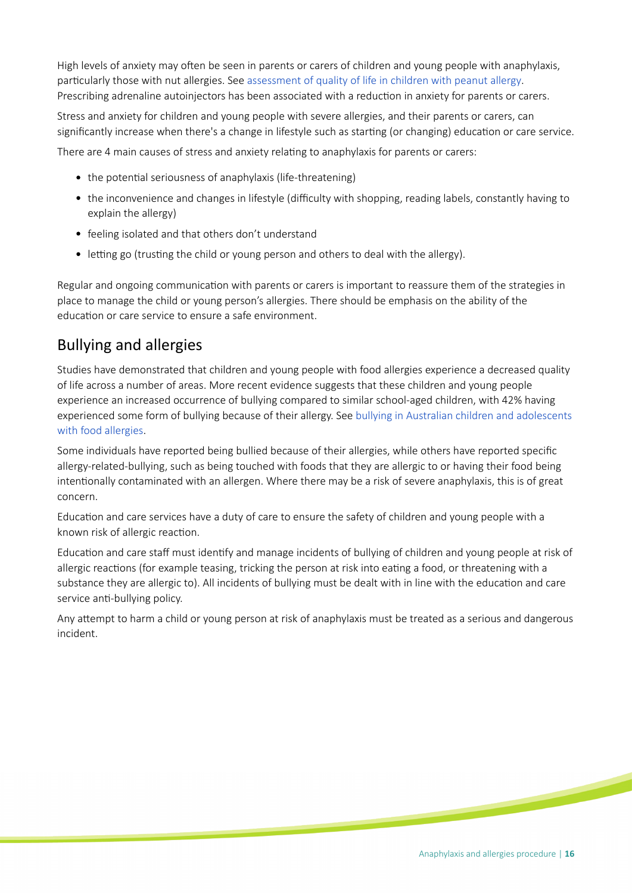High levels of anxiety may often be seen in parents or carers of children and young people with anaphylaxis, particularly those with nut allergies. See [assessment of quality of life in children with peanut allergy](https://onlinelibrary.wiley.com/doi/abs/10.1034/j.1399-3038.2003.00072.x). Prescribing adrenaline autoinjectors has been associated with a reduction in anxiety for parents or carers.

Stress and anxiety for children and young people with severe allergies, and their parents or carers, can significantly increase when there's a change in lifestyle such as starting (or changing) education or care service.

There are 4 main causes of stress and anxiety relating to anaphylaxis for parents or carers:

- the potential seriousness of anaphylaxis (life-threatening)
- the inconvenience and changes in lifestyle (difficulty with shopping, reading labels, constantly having to explain the allergy)
- feeling isolated and that others don't understand
- $\bullet$  letting go (trusting the child or young person and others to deal with the allergy).

Regular and ongoing communication with parents or carers is important to reassure them of the strategies in place to manage the child or young person's allergies. There should be emphasis on the ability of the education or care service to ensure a safe environment.

## Bullying and allergies

Studies have demonstrated that children and young people with food allergies experience a decreased quality of life across a number of areas. More recent evidence suggests that these children and young people experience an increased occurrence of bullying compared to similar school-aged children, with 42% having experienced some form of bullying because of their allergy. See [bullying in Australian children and adolescents](https://onlinelibrary.wiley.com/doi/abs/10.1111/pai.12955)  [with food allergies.](https://onlinelibrary.wiley.com/doi/abs/10.1111/pai.12955)

Some individuals have reported being bullied because of their allergies, while others have reported specifc allergy-related-bullying, such as being touched with foods that they are allergic to or having their food being intentionally contaminated with an allergen. Where there may be a risk of severe anaphylaxis, this is of great concern.

Educaton and care services have a duty of care to ensure the safety of children and young people with a known risk of allergic reaction.

Education and care staff must identify and manage incidents of bullying of children and young people at risk of allergic reactions (for example teasing, tricking the person at risk into eating a food, or threatening with a substance they are allergic to). All incidents of bullying must be dealt with in line with the education and care service anti-bullying policy.

Any atempt to harm a child or young person at risk of anaphylaxis must be treated as a serious and dangerous incident.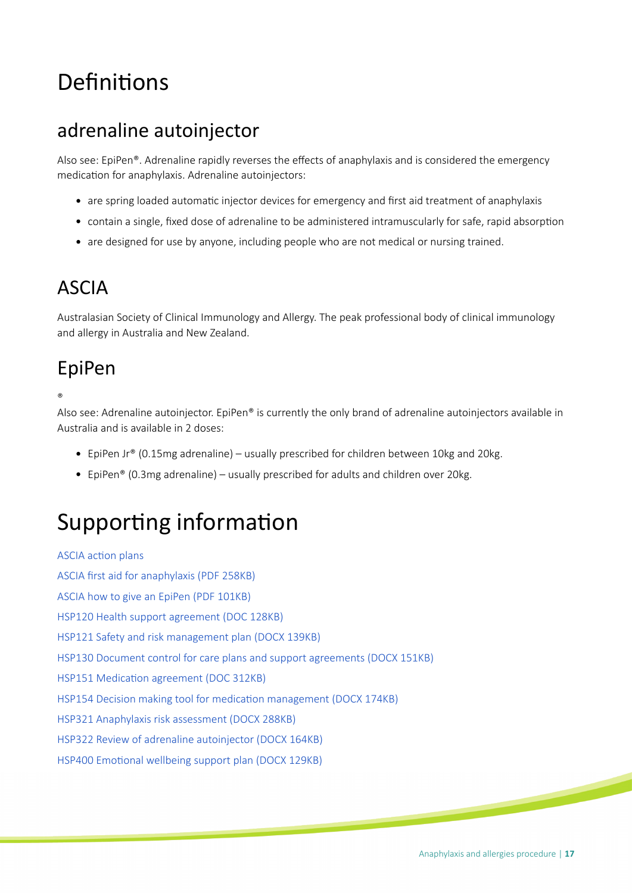# Definitions

## adrenaline autoinjector

Also see: EpiPen®. Adrenaline rapidly reverses the efects of anaphylaxis and is considered the emergency medication for anaphylaxis. Adrenaline autoinjectors:

- are spring loaded automatic injector devices for emergency and first aid treatment of anaphylaxis
- contain a single, fxed dose of adrenaline to be administered intramuscularly for safe, rapid absorpton
- are designed for use by anyone, including people who are not medical or nursing trained.

## ASCIA

Australasian Society of Clinical Immunology and Allergy. The peak professional body of clinical immunology and allergy in Australia and New Zealand.

## EpiPen

®

Also see: Adrenaline autoinjector. EpiPen® is currently the only brand of adrenaline autoinjectors available in Australia and is available in 2 doses:

- EpiPen Jr® (0.15mg adrenaline) usually prescribed for children between 10kg and 20kg.
- EpiPen® (0.3mg adrenaline) usually prescribed for adults and children over 20kg.

# Supporting information

ASCIA action plans [ASCIA frst aid for anaphylaxis \(PDF 258KB\)](https://www.allergy.org.au/images/stories/anaphylaxis/2017/ASCIA_PCC_Anaphylaxis_First_Aid_2017.pdf) [ASCIA how to give an EpiPen \(PDF 101KB\)](https://www.allergy.org.au/images/stories/anaphylaxis/2018/ASCIA_PCC_How_to_give_EpiPen_2018.pdf) [HSP120 Health support agreement \(DOC 128KB\)](https://www.education.sa.gov.au/sites/default/files/hsp120-health-support-agreement.docx) [HSP121 Safety and risk management plan \(DOCX 139KB\)](https://www.education.sa.gov.au/sites/g/files/net691/f/hsp121-safety-risk-mgmt-plan.doc) [HSP130 Document control for care plans and support agreements \(DOCX 151KB\)](https://www.education.sa.gov.au/sites/g/files/net691/f/hsp130-document-control-hcp-support-agreements.doc) HSP151 Medication agreement (DOC 312KB) [HSP154 Decision making tool for medicaton management \(DOCX 174KB\)](https://www.education.sa.gov.au/sites/default/files/hsp154-decision-making-tool-for-medication-administration.docx) [HSP321 Anaphylaxis risk assessment \(DOCX 288KB\)](https://www.education.sa.gov.au/sites/g/files/net691/f/hsp321-anaphylaxis-risk-assessment.doc) [HSP322 Review of adrenaline autoinjector \(DOCX 164KB\)](https://www.education.sa.gov.au/sites/g/files/net691/f/hsp322-review-adrenaline-autoinjectors.doc) HSP400 Emotional wellbeing support plan (DOCX 129KB)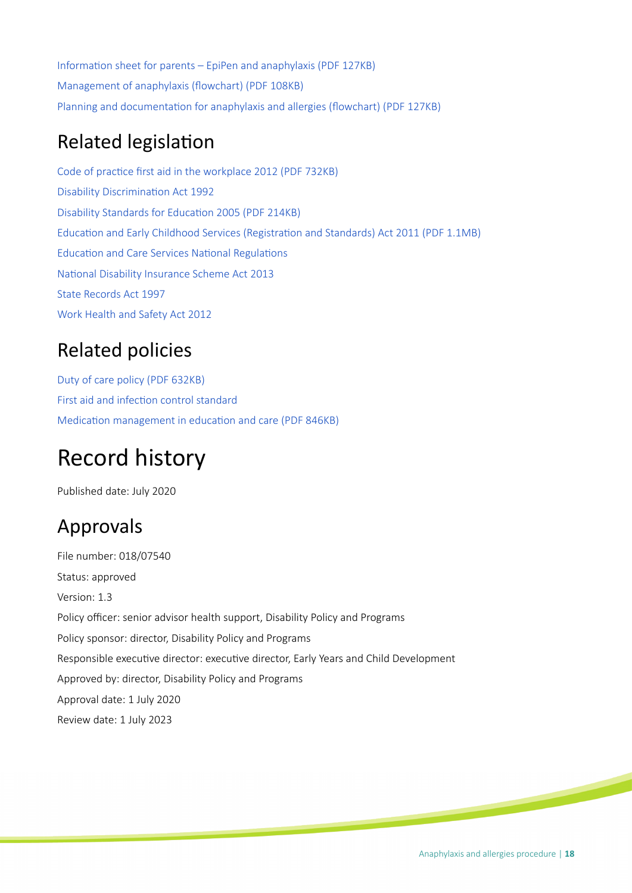Information sheet for parents – EpiPen and anaphylaxis (PDF 127KB) Management of anaphylaxis (flowchart) (PDF 108KB) Planning and documentation for anaphylaxis and allergies (flowchart) (PDF 127KB)

## **Related legislation**

Code of practice first aid in the workplace 2012 (PDF 732KB) Disability Discrimination Act 1992 Disability Standards for Education 2005 (PDF 214KB) Education and Early Childhood Services (Registration and Standards) Act 2011 (PDF 1.1MB) Education and Care Services National Regulations National Disability Insurance Scheme Act 2013 [State Records Act 1997](https://www.legislation.sa.gov.au/LZ/C/A/STATE%20RECORDS%20ACT%201997.aspx) [Work Health and Safety Act 2012](https://www.legislation.sa.gov.au/LZ/C/A/WORK%20HEALTH%20AND%20SAFETY%20ACT%202012.aspx)

## Related policies

[Duty of care policy \(PDF 632KB\)](https://edi.sa.edu.au/library/document-library/controlled-policies/duty-of-care-policy.pdf) First aid and infection control standard Medication management in education and care (PDF 846KB)

# Record history

Published date: July 2020

## Approvals

File number: 018/07540 Status: approved Version: 1.3 Policy officer: senior advisor health support, Disability Policy and Programs Policy sponsor: director, Disability Policy and Programs Responsible executive director: executive director, Early Years and Child Development Approved by: director, Disability Policy and Programs Approval date: 1 July 2020 Review date: 1 July 2023